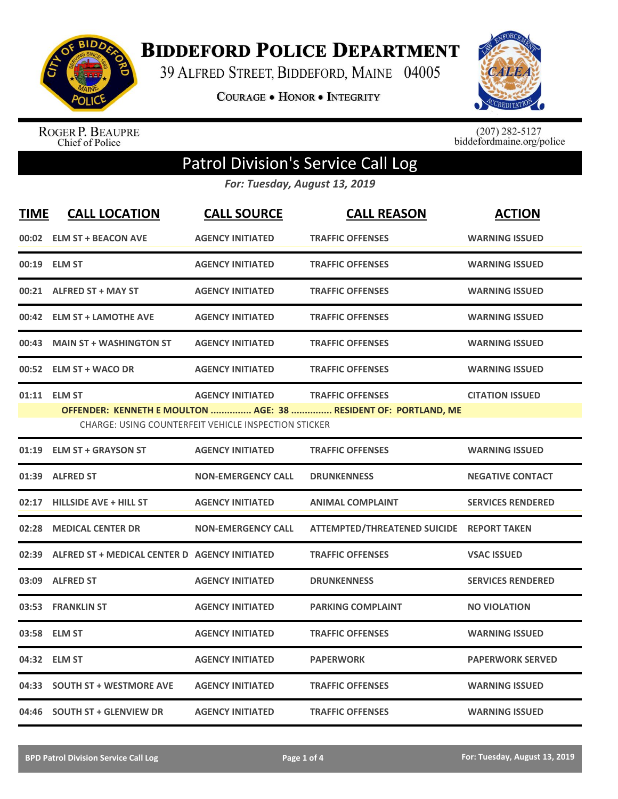

**BIDDEFORD POLICE DEPARTMENT** 

39 ALFRED STREET, BIDDEFORD, MAINE 04005

**COURAGE . HONOR . INTEGRITY** 



ROGER P. BEAUPRE<br>Chief of Police

 $(207)$  282-5127<br>biddefordmaine.org/police

## Patrol Division's Service Call Log

*For: Tuesday, August 13, 2019*

| <b>TIME</b> | <b>CALL LOCATION</b>                                | <b>CALL SOURCE</b>                                                                     | <b>CALL REASON</b>                                                                         | <b>ACTION</b>            |
|-------------|-----------------------------------------------------|----------------------------------------------------------------------------------------|--------------------------------------------------------------------------------------------|--------------------------|
|             | 00:02 ELM ST + BEACON AVE                           | <b>AGENCY INITIATED</b>                                                                | <b>TRAFFIC OFFENSES</b>                                                                    | <b>WARNING ISSUED</b>    |
|             | 00:19 ELM ST                                        | <b>AGENCY INITIATED</b>                                                                | <b>TRAFFIC OFFENSES</b>                                                                    | <b>WARNING ISSUED</b>    |
|             | 00:21 ALFRED ST + MAY ST                            | <b>AGENCY INITIATED</b>                                                                | <b>TRAFFIC OFFENSES</b>                                                                    | <b>WARNING ISSUED</b>    |
|             | 00:42 ELM ST + LAMOTHE AVE                          | <b>AGENCY INITIATED</b>                                                                | <b>TRAFFIC OFFENSES</b>                                                                    | <b>WARNING ISSUED</b>    |
| 00:43       | <b>MAIN ST + WASHINGTON ST</b>                      | <b>AGENCY INITIATED</b>                                                                | <b>TRAFFIC OFFENSES</b>                                                                    | <b>WARNING ISSUED</b>    |
|             | 00:52 ELM ST + WACO DR                              | <b>AGENCY INITIATED</b>                                                                | <b>TRAFFIC OFFENSES</b>                                                                    | <b>WARNING ISSUED</b>    |
|             | 01:11 ELM ST                                        | <b>AGENCY INITIATED</b><br><b>CHARGE: USING COUNTERFEIT VEHICLE INSPECTION STICKER</b> | <b>TRAFFIC OFFENSES</b><br>OFFENDER: KENNETH E MOULTON  AGE: 38  RESIDENT OF: PORTLAND, ME | <b>CITATION ISSUED</b>   |
| 01:19       | <b>ELM ST + GRAYSON ST</b>                          | <b>AGENCY INITIATED</b>                                                                | <b>TRAFFIC OFFENSES</b>                                                                    | <b>WARNING ISSUED</b>    |
|             | 01:39 ALFRED ST                                     | <b>NON-EMERGENCY CALL</b>                                                              | <b>DRUNKENNESS</b>                                                                         | <b>NEGATIVE CONTACT</b>  |
| 02:17       | <b>HILLSIDE AVE + HILL ST</b>                       | <b>AGENCY INITIATED</b>                                                                | <b>ANIMAL COMPLAINT</b>                                                                    | <b>SERVICES RENDERED</b> |
|             | 02:28 MEDICAL CENTER DR                             | <b>NON-EMERGENCY CALL</b>                                                              | ATTEMPTED/THREATENED SUICIDE REPORT TAKEN                                                  |                          |
|             | 02:39 ALFRED ST + MEDICAL CENTER D AGENCY INITIATED |                                                                                        | <b>TRAFFIC OFFENSES</b>                                                                    | <b>VSAC ISSUED</b>       |
|             | 03:09 ALFRED ST                                     | <b>AGENCY INITIATED</b>                                                                | <b>DRUNKENNESS</b>                                                                         | <b>SERVICES RENDERED</b> |
| 03:53       | <b>FRANKLIN ST</b>                                  | <b>AGENCY INITIATED</b>                                                                | <b>PARKING COMPLAINT</b>                                                                   | <b>NO VIOLATION</b>      |
| 03:58       | <b>ELM ST</b>                                       | <b>AGENCY INITIATED</b>                                                                | <b>TRAFFIC OFFENSES</b>                                                                    | <b>WARNING ISSUED</b>    |
|             | 04:32 ELM ST                                        | <b>AGENCY INITIATED</b>                                                                | <b>PAPERWORK</b>                                                                           | <b>PAPERWORK SERVED</b>  |
| 04:33       | <b>SOUTH ST + WESTMORE AVE</b>                      | <b>AGENCY INITIATED</b>                                                                | <b>TRAFFIC OFFENSES</b>                                                                    | <b>WARNING ISSUED</b>    |
|             | 04:46 SOUTH ST + GLENVIEW DR                        | <b>AGENCY INITIATED</b>                                                                | <b>TRAFFIC OFFENSES</b>                                                                    | <b>WARNING ISSUED</b>    |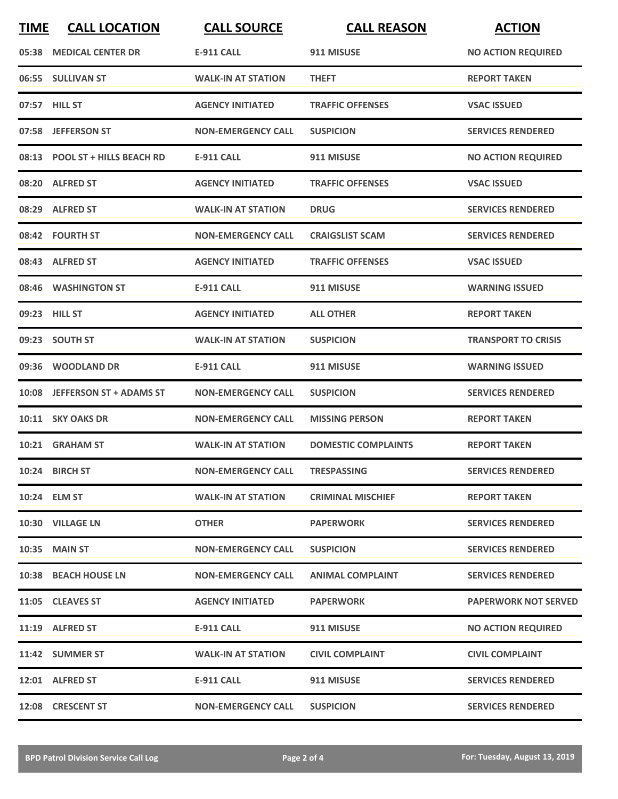| <b>TIME</b> | <b>CALL LOCATION</b>           | <b>CALL SOURCE</b>        | <b>CALL REASON</b>         | <b>ACTION</b>               |
|-------------|--------------------------------|---------------------------|----------------------------|-----------------------------|
|             | 05:38 MEDICAL CENTER DR        | <b>E-911 CALL</b>         | 911 MISUSE                 | <b>NO ACTION REQUIRED</b>   |
|             | 06:55 SULLIVAN ST              | <b>WALK-IN AT STATION</b> | <b>THEFT</b>               | <b>REPORT TAKEN</b>         |
|             | 07:57 HILL ST                  | <b>AGENCY INITIATED</b>   | <b>TRAFFIC OFFENSES</b>    | <b>VSAC ISSUED</b>          |
|             | 07:58 JEFFERSON ST             | <b>NON-EMERGENCY CALL</b> | <b>SUSPICION</b>           | <b>SERVICES RENDERED</b>    |
|             | 08:13 POOL ST + HILLS BEACH RD | <b>E-911 CALL</b>         | 911 MISUSE                 | <b>NO ACTION REQUIRED</b>   |
|             | 08:20 ALFRED ST                | <b>AGENCY INITIATED</b>   | <b>TRAFFIC OFFENSES</b>    | <b>VSAC ISSUED</b>          |
|             | 08:29 ALFRED ST                | <b>WALK-IN AT STATION</b> | <b>DRUG</b>                | <b>SERVICES RENDERED</b>    |
|             | 08:42 FOURTH ST                | <b>NON-EMERGENCY CALL</b> | <b>CRAIGSLIST SCAM</b>     | <b>SERVICES RENDERED</b>    |
|             | 08:43 ALFRED ST                | <b>AGENCY INITIATED</b>   | <b>TRAFFIC OFFENSES</b>    | <b>VSAC ISSUED</b>          |
|             | 08:46 WASHINGTON ST            | <b>E-911 CALL</b>         | 911 MISUSE                 | <b>WARNING ISSUED</b>       |
|             | 09:23 HILL ST                  | <b>AGENCY INITIATED</b>   | <b>ALL OTHER</b>           | <b>REPORT TAKEN</b>         |
|             | 09:23 SOUTH ST                 | <b>WALK-IN AT STATION</b> | <b>SUSPICION</b>           | <b>TRANSPORT TO CRISIS</b>  |
|             | 09:36 WOODLAND DR              | <b>E-911 CALL</b>         | 911 MISUSE                 | <b>WARNING ISSUED</b>       |
|             | 10:08 JEFFERSON ST + ADAMS ST  | <b>NON-EMERGENCY CALL</b> | <b>SUSPICION</b>           | <b>SERVICES RENDERED</b>    |
|             | 10:11 SKY OAKS DR              | <b>NON-EMERGENCY CALL</b> | <b>MISSING PERSON</b>      | <b>REPORT TAKEN</b>         |
|             | 10:21 GRAHAM ST                | <b>WALK-IN AT STATION</b> | <b>DOMESTIC COMPLAINTS</b> | <b>REPORT TAKEN</b>         |
|             | 10:24 BIRCH ST                 | <b>NON-EMERGENCY CALL</b> | <b>TRESPASSING</b>         | <b>SERVICES RENDERED</b>    |
|             | 10:24 ELM ST                   | <b>WALK-IN AT STATION</b> | <b>CRIMINAL MISCHIEF</b>   | <b>REPORT TAKEN</b>         |
|             | 10:30 VILLAGE LN               | <b>OTHER</b>              | <b>PAPERWORK</b>           | <b>SERVICES RENDERED</b>    |
|             | 10:35 MAIN ST                  | <b>NON-EMERGENCY CALL</b> | <b>SUSPICION</b>           | <b>SERVICES RENDERED</b>    |
|             | 10:38 BEACH HOUSE LN           | <b>NON-EMERGENCY CALL</b> | <b>ANIMAL COMPLAINT</b>    | <b>SERVICES RENDERED</b>    |
|             | 11:05 CLEAVES ST               | <b>AGENCY INITIATED</b>   | <b>PAPERWORK</b>           | <b>PAPERWORK NOT SERVED</b> |
|             | 11:19 ALFRED ST                | E-911 CALL                | 911 MISUSE                 | <b>NO ACTION REQUIRED</b>   |
|             | 11:42 SUMMER ST                | <b>WALK-IN AT STATION</b> | <b>CIVIL COMPLAINT</b>     | <b>CIVIL COMPLAINT</b>      |
|             | 12:01 ALFRED ST                | E-911 CALL                | 911 MISUSE                 | <b>SERVICES RENDERED</b>    |
|             | 12:08 CRESCENT ST              | <b>NON-EMERGENCY CALL</b> | <b>SUSPICION</b>           | <b>SERVICES RENDERED</b>    |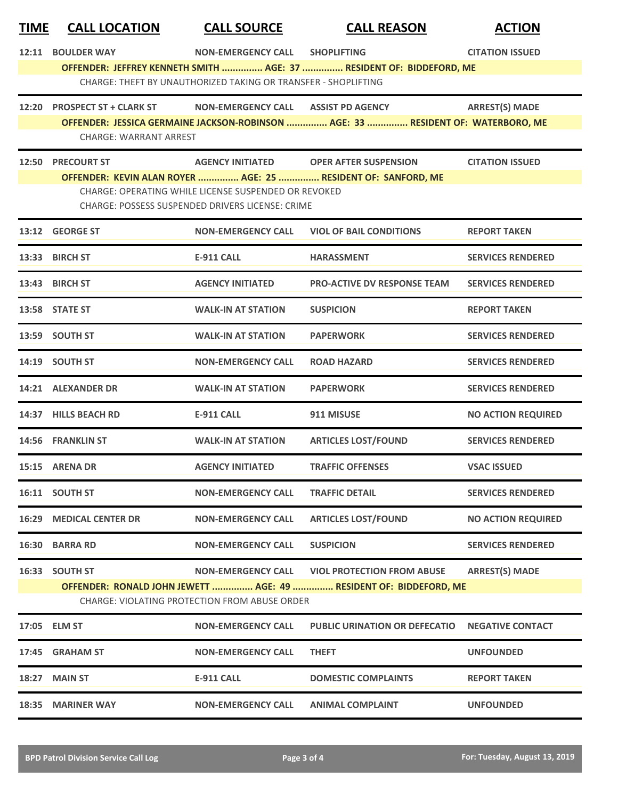| <b>TIME</b> | <b>CALL LOCATION</b>                                 | <b>CALL SOURCE</b>                                             | <b>CALL REASON</b>                                                               | <b>ACTION</b>             |  |
|-------------|------------------------------------------------------|----------------------------------------------------------------|----------------------------------------------------------------------------------|---------------------------|--|
| 12:11       | <b>BOULDER WAY</b>                                   | <b>NON-EMERGENCY CALL</b>                                      | <b>SHOPLIFTING</b>                                                               | <b>CITATION ISSUED</b>    |  |
|             |                                                      |                                                                | OFFENDER: JEFFREY KENNETH SMITH  AGE: 37  RESIDENT OF: BIDDEFORD, ME             |                           |  |
|             |                                                      | CHARGE: THEFT BY UNAUTHORIZED TAKING OR TRANSFER - SHOPLIFTING |                                                                                  |                           |  |
|             | 12:20 PROSPECT ST + CLARK ST                         | <b>NON-EMERGENCY CALL</b>                                      | <b>ASSIST PD AGENCY</b>                                                          | <b>ARREST(S) MADE</b>     |  |
|             |                                                      |                                                                | OFFENDER: JESSICA GERMAINE JACKSON-ROBINSON  AGE: 33  RESIDENT OF: WATERBORO, ME |                           |  |
|             | <b>CHARGE: WARRANT ARREST</b>                        |                                                                |                                                                                  |                           |  |
|             | 12:50 PRECOURT ST                                    | <b>AGENCY INITIATED</b>                                        | <b>OPER AFTER SUSPENSION</b>                                                     | <b>CITATION ISSUED</b>    |  |
|             |                                                      |                                                                | OFFENDER: KEVIN ALAN ROYER  AGE: 25  RESIDENT OF: SANFORD, ME                    |                           |  |
|             | CHARGE: OPERATING WHILE LICENSE SUSPENDED OR REVOKED |                                                                |                                                                                  |                           |  |
|             |                                                      | CHARGE: POSSESS SUSPENDED DRIVERS LICENSE: CRIME               |                                                                                  |                           |  |
|             | 13:12 GEORGE ST                                      | <b>NON-EMERGENCY CALL</b>                                      | <b>VIOL OF BAIL CONDITIONS</b>                                                   | <b>REPORT TAKEN</b>       |  |
|             | 13:33 BIRCH ST                                       | <b>E-911 CALL</b>                                              | <b>HARASSMENT</b>                                                                | <b>SERVICES RENDERED</b>  |  |
|             | 13:43 BIRCH ST                                       | <b>AGENCY INITIATED</b>                                        | <b>PRO-ACTIVE DV RESPONSE TEAM</b>                                               | <b>SERVICES RENDERED</b>  |  |
|             | 13:58 STATE ST                                       | <b>WALK-IN AT STATION</b>                                      | <b>SUSPICION</b>                                                                 | <b>REPORT TAKEN</b>       |  |
|             | 13:59 SOUTH ST                                       | <b>WALK-IN AT STATION</b>                                      | <b>PAPERWORK</b>                                                                 | <b>SERVICES RENDERED</b>  |  |
|             | 14:19 SOUTH ST                                       | <b>NON-EMERGENCY CALL</b>                                      | <b>ROAD HAZARD</b>                                                               | <b>SERVICES RENDERED</b>  |  |
|             | 14:21 ALEXANDER DR                                   | <b>WALK-IN AT STATION</b>                                      | <b>PAPERWORK</b>                                                                 | <b>SERVICES RENDERED</b>  |  |
|             | 14:37 HILLS BEACH RD                                 | <b>E-911 CALL</b>                                              | 911 MISUSE                                                                       | <b>NO ACTION REQUIRED</b> |  |
|             | 14:56 FRANKLIN ST                                    | <b>WALK-IN AT STATION</b>                                      | <b>ARTICLES LOST/FOUND</b>                                                       | <b>SERVICES RENDERED</b>  |  |
|             | 15:15 ARENA DR                                       | <b>AGENCY INITIATED</b>                                        | <b>TRAFFIC OFFENSES</b>                                                          | <b>VSAC ISSUED</b>        |  |
|             | 16:11 SOUTH ST                                       | <b>NON-EMERGENCY CALL</b>                                      | <b>TRAFFIC DETAIL</b>                                                            | <b>SERVICES RENDERED</b>  |  |
| 16:29       | <b>MEDICAL CENTER DR</b>                             | <b>NON-EMERGENCY CALL</b>                                      | <b>ARTICLES LOST/FOUND</b>                                                       | <b>NO ACTION REQUIRED</b> |  |
|             | 16:30 BARRA RD                                       | <b>NON-EMERGENCY CALL</b>                                      | <b>SUSPICION</b>                                                                 | <b>SERVICES RENDERED</b>  |  |
|             | 16:33 SOUTH ST                                       | <b>NON-EMERGENCY CALL</b>                                      | <b>VIOL PROTECTION FROM ABUSE</b>                                                | <b>ARREST(S) MADE</b>     |  |
|             |                                                      |                                                                | OFFENDER: RONALD JOHN JEWETT  AGE: 49  RESIDENT OF: BIDDEFORD, ME                |                           |  |
|             |                                                      | <b>CHARGE: VIOLATING PROTECTION FROM ABUSE ORDER</b>           |                                                                                  |                           |  |
|             | 17:05 ELM ST                                         | <b>NON-EMERGENCY CALL</b>                                      | <b>PUBLIC URINATION OR DEFECATIO</b>                                             | <b>NEGATIVE CONTACT</b>   |  |
|             | 17:45 GRAHAM ST                                      | <b>NON-EMERGENCY CALL</b>                                      | <b>THEFT</b>                                                                     | <b>UNFOUNDED</b>          |  |
| 18:27       | <b>MAIN ST</b>                                       | <b>E-911 CALL</b>                                              | <b>DOMESTIC COMPLAINTS</b>                                                       | <b>REPORT TAKEN</b>       |  |
| 18:35       | <b>MARINER WAY</b>                                   | <b>NON-EMERGENCY CALL</b>                                      | <b>ANIMAL COMPLAINT</b>                                                          | <b>UNFOUNDED</b>          |  |
|             |                                                      |                                                                |                                                                                  |                           |  |